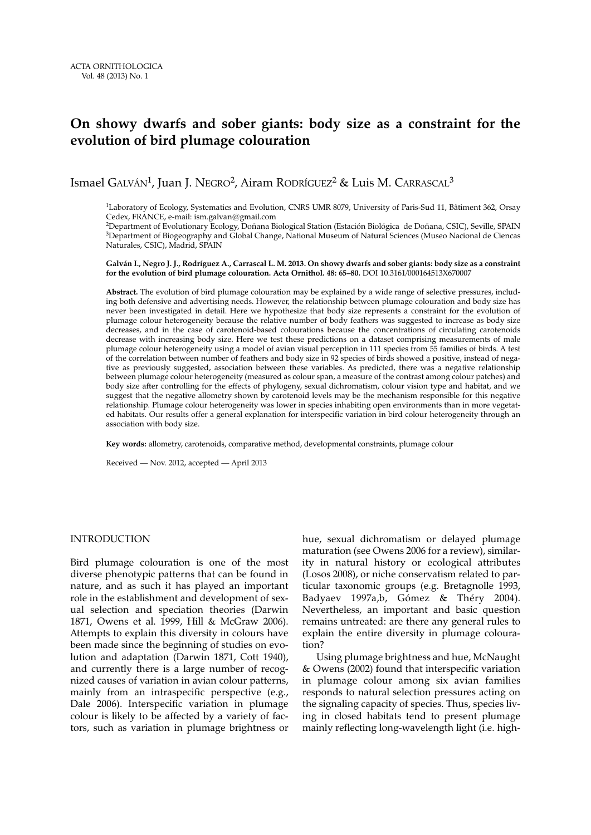# **On showy dwarfs and sober giants: body size as a constraint for the evolution of bird plumage colouration**

Ismael GALVÁN<sup>1</sup>, Juan J. NEGRO<sup>2</sup>, Airam RODRÍGUEZ<sup>2</sup> & Luis M. CARRASCAL<sup>3</sup>

<sup>1</sup>Laboratory of Ecology, Systematics and Evolution, CNRS UMR 8079, University of Paris-Sud 11, Bâtiment 362, Orsav Cedex, FRANCE, e-mail: ism.galvan@gmail.com

2Department of Evolutionary Ecology, Doñana Biological Station (Estación Biológica de Doñana, CSIC), Seville, SPAIN 3Department of Biogeography and Global Change, National Museum of Natural Sciences (Museo Nacional de Ciencas Naturales, CSIC), Madrid, SPAIN

#### **Galván I., Negro J. J., Rodríguez A., Carrascal L. M. 2013. On showy dwarfs and sober giants: body size as a constraint for the evolution of bird plumage colouration. Acta Ornithol. 48: 65–80.** DOI 10.3161/000164513X670007

**Abstract.** The evolution of bird plumage colouration may be explained by a wide range of selective pressures, including both defensive and advertising needs. However, the relationship between plumage colouration and body size has never been investigated in detail. Here we hypothesize that body size represents a constraint for the evolution of plumage colour heterogeneity because the relative number of body feathers was suggested to increase as body size decreases, and in the case of carotenoid-based colourations because the concentrations of circulating carotenoids decrease with increasing body size. Here we test these predictions on a dataset comprising measurements of male plumage colour heterogeneity using a model of avian visual perception in 111 species from 55 families of birds. A test of the correlation between number of feathers and body size in 92 species of birds showed a positive, instead of negative as previously suggested, association between these variables. As predicted, there was a negative relationship between plumage colour heterogeneity (measured as colour span, a measure of the contrast among colour patches) and body size after controlling for the effects of phylogeny, sexual dichromatism, colour vision type and habitat, and we suggest that the negative allometry shown by carotenoid levels may be the mechanism responsible for this negative relationship. Plumage colour heterogeneity was lower in species inhabiting open environments than in more vegetated habitats. Our results offer a general explanation for interspecific variation in bird colour heterogeneity through an association with body size.

**Key words:** allometry, carotenoids, comparative method, developmental constraints, plumage colour

Received — Nov. 2012, accepted — April 2013

# INTRODUCTION

Bird plumage colouration is one of the most diverse phenotypic patterns that can be found in nature, and as such it has played an important role in the establishment and development of sexual selection and speciation theories (Darwin 1871, Owens et al. 1999, Hill & McGraw 2006). Attempts to explain this diversity in colours have been made since the beginning of studies on evolution and adaptation (Darwin 1871, Cott 1940), and currently there is a large number of recognized causes of variation in avian colour patterns, mainly from an intraspecific perspective (e.g., Dale 2006). Interspecific variation in plumage colour is likely to be affected by a variety of factors, such as variation in plumage brightness or

hue, sexual dichromatism or delayed plumage maturation (see Owens 2006 for a review), similarity in natural history or ecological attributes (Losos 2008), or niche conservatism related to particular taxonomic groups (e.g. Bretagnolle 1993, Badyaev 1997a,b, Gómez & Théry 2004). Nevertheless, an important and basic question remains untreated: are there any general rules to explain the entire diversity in plumage colouration?

Using plumage brightness and hue, McNaught & Owens (2002) found that interspecific variation in plumage colour among six avian families responds to natural selection pressures acting on the signaling capacity of species. Thus, species living in closed habitats tend to present plumage mainly reflecting long-wavelength light (i.e. high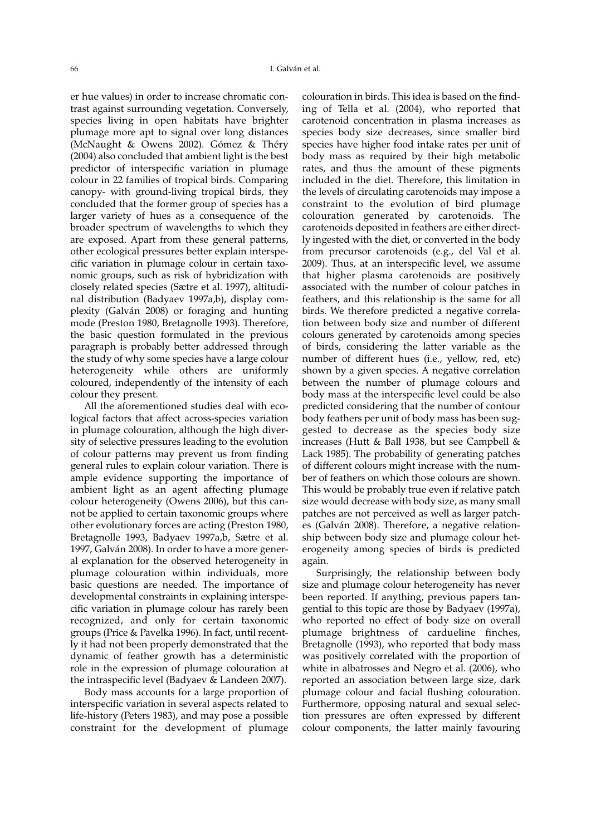er hue values) in order to increase chromatic contrast against surrounding vegetation. Conversely, species living in open habitats have brighter plumage more apt to signal over long distances (McNaught & Owens 2002). Gómez & Théry (2004) also concluded that ambient light is the best predictor of interspecific variation in plumage colour in 22 families of tropical birds. Comparing canopy- with ground-living tropical birds, they concluded that the former group of species has a larger variety of hues as a consequence of the broader spectrum of wavelengths to which they are exposed. Apart from these general patterns, other ecological pressures better explain interspecific variation in plumage colour in certain taxonomic groups, such as risk of hybridization with closely related species (Sætre et al. 1997), altitudinal distribution (Badyaev 1997a,b), display complexity (Galván 2008) or foraging and hunting mode (Preston 1980, Bretagnolle 1993). Therefore, the basic question formulated in the previous paragraph is probably better addressed through the study of why some species have a large colour heterogeneity while others are uniformly coloured, independently of the intensity of each colour they present.

All the aforementioned studies deal with ecological factors that affect across-species variation in plumage colouration, although the high diversity of selective pressures leading to the evolution of colour patterns may prevent us from finding general rules to explain colour variation. There is ample evidence supporting the importance of ambient light as an agent affecting plumage colour heterogeneity (Owens 2006), but this cannot be applied to certain taxonomic groups where other evolutionary forces are acting (Preston 1980, Bretagnolle 1993, Badyaev 1997a,b, Sætre et al. 1997, Galván 2008). In order to have a more general explanation for the observed heterogeneity in plumage colouration within individuals, more basic questions are needed. The importance of developmental constraints in explaining interspecific variation in plumage colour has rarely been recognized, and only for certain taxonomic groups (Price & Pavelka 1996). In fact, until recently it had not been properly demonstrated that the dynamic of feather growth has a deterministic role in the expression of plumage colouration at the intraspecific level (Badyaev & Landeen 2007).

Body mass accounts for a large proportion of interspecific variation in several aspects related to life-history (Peters 1983), and may pose a possible constraint for the development of plumage colouration in birds. This idea is based on the finding of Tella et al. (2004), who reported that carotenoid concentration in plasma increases as species body size decreases, since smaller bird species have higher food intake rates per unit of body mass as required by their high metabolic rates, and thus the amount of these pigments included in the diet. Therefore, this limitation in the levels of circulating carotenoids may impose a constraint to the evolution of bird plumage colouration generated by carotenoids. The carotenoids deposited in feathers are either directly ingested with the diet, or converted in the body from precursor carotenoids (e.g., del Val et al. 2009). Thus, at an interspecific level, we assume that higher plasma carotenoids are positively associated with the number of colour patches in feathers, and this relationship is the same for all birds. We therefore predicted a negative correlation between body size and number of different colours generated by carotenoids among species of birds, considering the latter variable as the number of different hues (i.e., yellow, red, etc) shown by a given species. A negative correlation between the number of plumage colours and body mass at the interspecific level could be also predicted considering that the number of contour body feathers per unit of body mass has been suggested to decrease as the species body size increases (Hutt & Ball 1938, but see Campbell & Lack 1985). The probability of generating patches of different colours might increase with the number of feathers on which those colours are shown. This would be probably true even if relative patch size would decrease with body size, as many small patches are not perceived as well as larger patches (Galván 2008). Therefore, a negative relationship between body size and plumage colour heterogeneity among species of birds is predicted again.

Surprisingly, the relationship between body size and plumage colour heterogeneity has never been reported. If anything, previous papers tangential to this topic are those by Badyaev (1997a), who reported no effect of body size on overall plumage brightness of cardueline finches, Bretagnolle (1993), who reported that body mass was positively correlated with the proportion of white in albatrosses and Negro et al. (2006), who reported an association between large size, dark plumage colour and facial flushing colouration. Furthermore, opposing natural and sexual selection pressures are often expressed by different colour components, the latter mainly favouring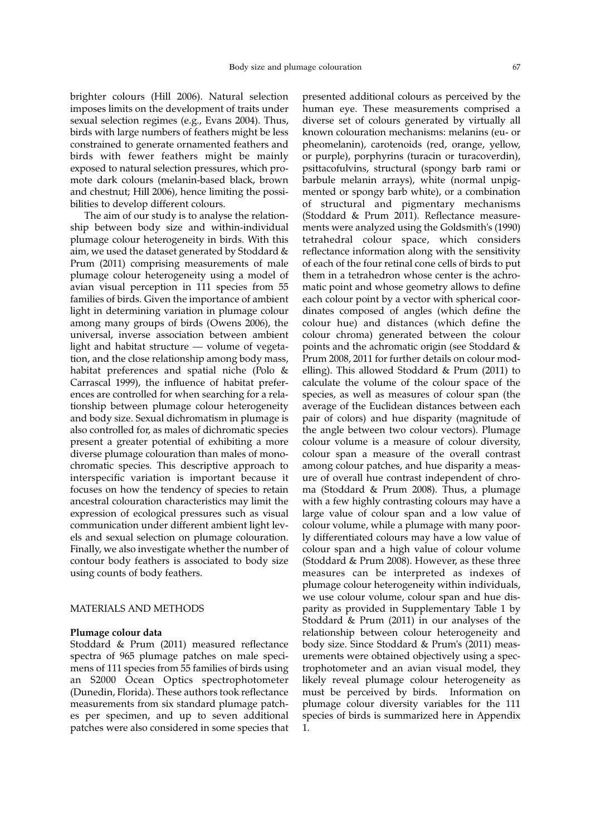brighter colours (Hill 2006). Natural selection imposes limits on the development of traits under sexual selection regimes (e.g., Evans 2004). Thus, birds with large numbers of feathers might be less constrained to generate ornamented feathers and birds with fewer feathers might be mainly exposed to natural selection pressures, which promote dark colours (melanin-based black, brown and chestnut; Hill 2006), hence limiting the possibilities to develop different colours.

The aim of our study is to analyse the relationship between body size and within-individual plumage colour heterogeneity in birds. With this aim, we used the dataset generated by Stoddard & Prum (2011) comprising measurements of male plumage colour heterogeneity using a model of avian visual perception in 111 species from 55 families of birds. Given the importance of ambient light in determining variation in plumage colour among many groups of birds (Owens 2006), the universal, inverse association between ambient light and habitat structure — volume of vegetation, and the close relationship among body mass, habitat preferences and spatial niche (Polo & Carrascal 1999), the influence of habitat preferences are controlled for when searching for a relationship between plumage colour heterogeneity and body size. Sexual dichromatism in plumage is also controlled for, as males of dichromatic species present a greater potential of exhibiting a more diverse plumage colouration than males of monochromatic species. This descriptive approach to interspecific variation is important because it focuses on how the tendency of species to retain ancestral colouration characteristics may limit the expression of ecological pressures such as visual communication under different ambient light levels and sexual selection on plumage colouration. Finally, we also investigate whether the number of contour body feathers is associated to body size using counts of body feathers.

#### MATERIALS AND METHODS

### **Plumage colour data**

Stoddard & Prum (2011) measured reflectance spectra of 965 plumage patches on male specimens of 111 species from 55 families of birds using an S2000 Ocean Optics spectrophotometer (Dunedin, Florida). These authors took reflectance measurements from six standard plumage patches per specimen, and up to seven additional patches were also considered in some species that

presented additional colours as perceived by the human eye. These measurements comprised a diverse set of colours generated by virtually all known colouration mechanisms: melanins (eu- or pheomelanin), carotenoids (red, orange, yellow, or purple), porphyrins (turacin or turacoverdin), psittacofulvins, structural (spongy barb rami or barbule melanin arrays), white (normal unpigmented or spongy barb white), or a combination of structural and pigmentary mechanisms (Stoddard & Prum 2011). Reflectance measurements were analyzed using the Goldsmith's (1990) tetrahedral colour space, which considers reflectance information along with the sensitivity of each of the four retinal cone cells of birds to put them in a tetrahedron whose center is the achromatic point and whose geometry allows to define each colour point by a vector with spherical coordinates composed of angles (which define the colour hue) and distances (which define the colour chroma) generated between the colour points and the achromatic origin (see Stoddard & Prum 2008, 2011 for further details on colour modelling). This allowed Stoddard & Prum (2011) to calculate the volume of the colour space of the species, as well as measures of colour span (the average of the Euclidean distances between each pair of colors) and hue disparity (magnitude of the angle between two colour vectors). Plumage colour volume is a measure of colour diversity, colour span a measure of the overall contrast among colour patches, and hue disparity a measure of overall hue contrast independent of chroma (Stoddard & Prum 2008). Thus, a plumage with a few highly contrasting colours may have a large value of colour span and a low value of colour volume, while a plumage with many poorly differentiated colours may have a low value of colour span and a high value of colour volume (Stoddard & Prum 2008). However, as these three measures can be interpreted as indexes of plumage colour heterogeneity within individuals, we use colour volume, colour span and hue disparity as provided in Supplementary Table 1 by Stoddard & Prum (2011) in our analyses of the relationship between colour heterogeneity and body size. Since Stoddard & Prum's (2011) measurements were obtained objectively using a spectrophotometer and an avian visual model, they likely reveal plumage colour heterogeneity as must be perceived by birds. Information on plumage colour diversity variables for the 111 species of birds is summarized here in Appendix 1.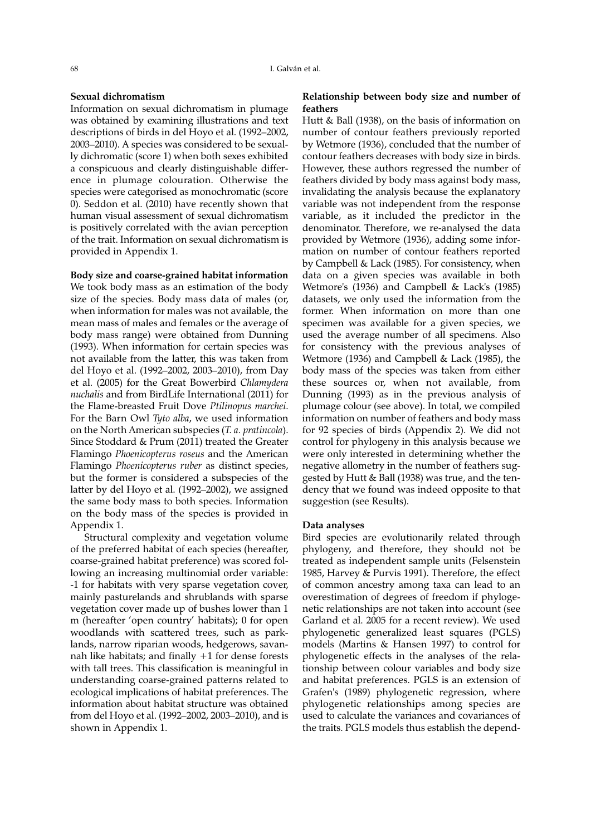## **Sexual dichromatism**

Information on sexual dichromatism in plumage was obtained by examining illustrations and text descriptions of birds in del Hoyo et al. (1992–2002, 2003–2010). A species was considered to be sexually dichromatic (score 1) when both sexes exhibited a conspicuous and clearly distinguishable difference in plumage colouration. Otherwise the species were categorised as monochromatic (score 0). Seddon et al. (2010) have recently shown that human visual assessment of sexual dichromatism is positively correlated with the avian perception of the trait. Information on sexual dichromatism is provided in Appendix 1.

## **Body size and coarse-grained habitat information**

We took body mass as an estimation of the body size of the species. Body mass data of males (or, when information for males was not available, the mean mass of males and females or the average of body mass range) were obtained from Dunning (1993). When information for certain species was not available from the latter, this was taken from del Hoyo et al. (1992–2002, 2003–2010), from Day et al. (2005) for the Great Bowerbird *Chlamydera nuchalis* and from BirdLife International (2011) for the Flame-breasted Fruit Dove *Ptilinopus marchei*. For the Barn Owl *Tyto alba*, we used information on the North American subspecies (*T. a. pratincola*). Since Stoddard & Prum (2011) treated the Greater Flamingo *Phoenicopterus roseus* and the American Flamingo *Phoenicopterus ruber* as distinct species, but the former is considered a subspecies of the latter by del Hoyo et al. (1992–2002), we assigned the same body mass to both species. Information on the body mass of the species is provided in Appendix 1.

Structural complexity and vegetation volume of the preferred habitat of each species (hereafter, coarse-grained habitat preference) was scored following an increasing multinomial order variable: -1 for habitats with very sparse vegetation cover, mainly pasturelands and shrublands with sparse vegetation cover made up of bushes lower than 1 m (hereafter 'open country' habitats); 0 for open woodlands with scattered trees, such as parklands, narrow riparian woods, hedgerows, savannah like habitats; and finally  $+1$  for dense forests with tall trees. This classification is meaningful in understanding coarse-grained patterns related to ecological implications of habitat preferences. The information about habitat structure was obtained from del Hoyo et al. (1992–2002, 2003–2010), and is shown in Appendix 1.

## **Relationship between body size and number of feathers**

Hutt & Ball (1938), on the basis of information on number of contour feathers previously reported by Wetmore (1936), concluded that the number of contour feathers decreases with body size in birds. However, these authors regressed the number of feathers divided by body mass against body mass, invalidating the analysis because the explanatory variable was not independent from the response variable, as it included the predictor in the denominator. Therefore, we re-analysed the data provided by Wetmore (1936), adding some information on number of contour feathers reported by Campbell & Lack (1985). For consistency, when data on a given species was available in both Wetmore's (1936) and Campbell & Lack's (1985) datasets, we only used the information from the former. When information on more than one specimen was available for a given species, we used the average number of all specimens. Also for consistency with the previous analyses of Wetmore (1936) and Campbell & Lack (1985), the body mass of the species was taken from either these sources or, when not available, from Dunning (1993) as in the previous analysis of plumage colour (see above). In total, we compiled information on number of feathers and body mass for 92 species of birds (Appendix 2). We did not control for phylogeny in this analysis because we were only interested in determining whether the negative allometry in the number of feathers suggested by Hutt & Ball (1938) was true, and the tendency that we found was indeed opposite to that suggestion (see Results).

#### **Data analyses**

Bird species are evolutionarily related through phylogeny, and therefore, they should not be treated as independent sample units (Felsenstein 1985, Harvey & Purvis 1991). Therefore, the effect of common ancestry among taxa can lead to an overestimation of degrees of freedom if phylogenetic relationships are not taken into account (see Garland et al. 2005 for a recent review). We used phylogenetic generalized least squares (PGLS) models (Martins & Hansen 1997) to control for phylogenetic effects in the analyses of the relationship between colour variables and body size and habitat preferences. PGLS is an extension of Grafen's (1989) phylogenetic regression, where phylogenetic relationships among species are used to calculate the variances and covariances of the traits. PGLS models thus establish the depend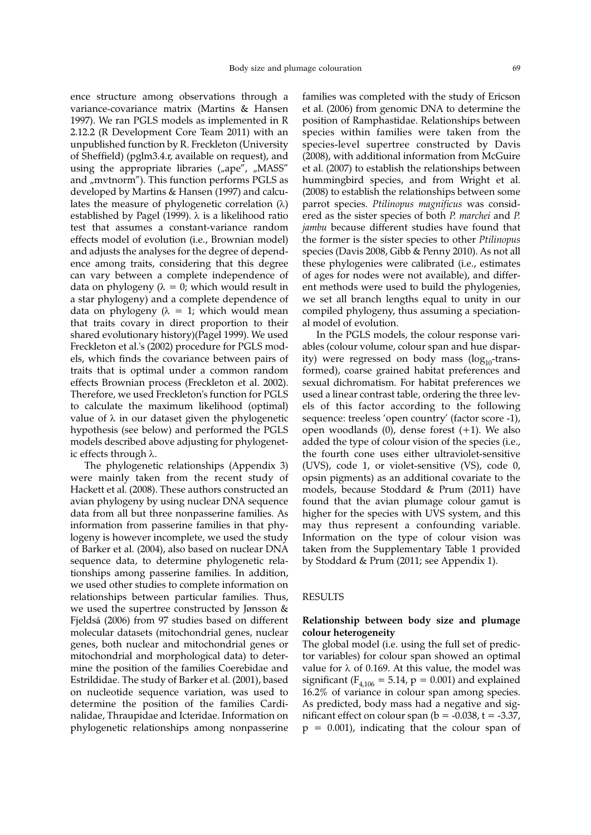ence structure among observations through a variance-covariance matrix (Martins & Hansen 1997). We ran PGLS models as implemented in R 2.12.2 (R Development Core Team 2011) with an unpublished function by R. Freckleton (University of Sheffield) (pglm3.4.r, available on request), and using the appropriate libraries  $\mu$ ape", "MASS" and "mvtnorm"). This function performs PGLS as developed by Martins & Hansen (1997) and calculates the measure of phylogenetic correlation  $(\lambda)$ established by Pagel (1999).  $\lambda$  is a likelihood ratio test that assumes a constant-variance random effects model of evolution (i.e., Brownian model) and adjusts the analyses for the degree of dependence among traits, considering that this degree can vary between a complete independence of data on phylogeny ( $\lambda = 0$ ; which would result in a star phylogeny) and a complete dependence of data on phylogeny  $(\lambda = 1)$ ; which would mean that traits covary in direct proportion to their shared evolutionary history)(Pagel 1999). We used Freckleton et al.'s (2002) procedure for PGLS models, which finds the covariance between pairs of traits that is optimal under a common random effects Brownian process (Freckleton et al. 2002). Therefore, we used Freckleton's function for PGLS to calculate the maximum likelihood (optimal) value of λ in our dataset given the phylogenetic hypothesis (see below) and performed the PGLS models described above adjusting for phylogenetic effects through λ.

The phylogenetic relationships (Appendix 3) were mainly taken from the recent study of Hackett et al. (2008). These authors constructed an avian phylogeny by using nuclear DNA sequence data from all but three nonpasserine families. As information from passerine families in that phylogeny is however incomplete, we used the study of Barker et al. (2004), also based on nuclear DNA sequence data, to determine phylogenetic relationships among passerine families. In addition, we used other studies to complete information on relationships between particular families. Thus, we used the supertree constructed by Jønsson  $\&$ Fjeldså (2006) from 97 studies based on different molecular datasets (mitochondrial genes, nuclear genes, both nuclear and mitochondrial genes or mitochondrial and morphological data) to determine the position of the families Coerebidae and Estrildidae. The study of Barker et al. (2001), based on nucleotide sequence variation, was used to determine the position of the families Cardinalidae, Thraupidae and Icteridae. Information on phylogenetic relationships among nonpasserine families was completed with the study of Ericson et al. (2006) from genomic DNA to determine the position of Ramphastidae. Relationships between species within families were taken from the species-level supertree constructed by Davis (2008), with additional information from McGuire et al. (2007) to establish the relationships between hummingbird species, and from Wright et al. (2008) to establish the relationships between some parrot species. *Ptilinopus magnificus* was considered as the sister species of both *P. marchei* and *P. jambu* because different studies have found that the former is the sister species to other *Ptilinopus* species (Davis 2008, Gibb & Penny 2010). As not all these phylogenies were calibrated (i.e., estimates of ages for nodes were not available), and different methods were used to build the phylogenies, we set all branch lengths equal to unity in our compiled phylogeny, thus assuming a speciational model of evolution.

In the PGLS models, the colour response variables (colour volume, colour span and hue disparity) were regressed on body mass  $(log_{10}$ -transformed), coarse grained habitat preferences and sexual dichromatism. For habitat preferences we used a linear contrast table, ordering the three levels of this factor according to the following sequence: treeless 'open country' (factor score -1), open woodlands  $(0)$ , dense forest  $(+1)$ . We also added the type of colour vision of the species (i.e., the fourth cone uses either ultraviolet-sensitive (UVS), code 1, or violet-sensitive (VS), code 0, opsin pigments) as an additional covariate to the models, because Stoddard & Prum (2011) have found that the avian plumage colour gamut is higher for the species with UVS system, and this may thus represent a confounding variable. Information on the type of colour vision was taken from the Supplementary Table 1 provided by Stoddard & Prum (2011; see Appendix 1).

#### RESULTS

## **Relationship between body size and plumage colour heterogeneity**

The global model (i.e. using the full set of predictor variables) for colour span showed an optimal value for  $\lambda$  of 0.169. At this value, the model was significant ( $F_{4,106} = 5.14$ ,  $p = 0.001$ ) and explained 16.2% of variance in colour span among species. As predicted, body mass had a negative and significant effect on colour span ( $b = -0.038$ ,  $t = -3.37$ ,  $p = 0.001$ ), indicating that the colour span of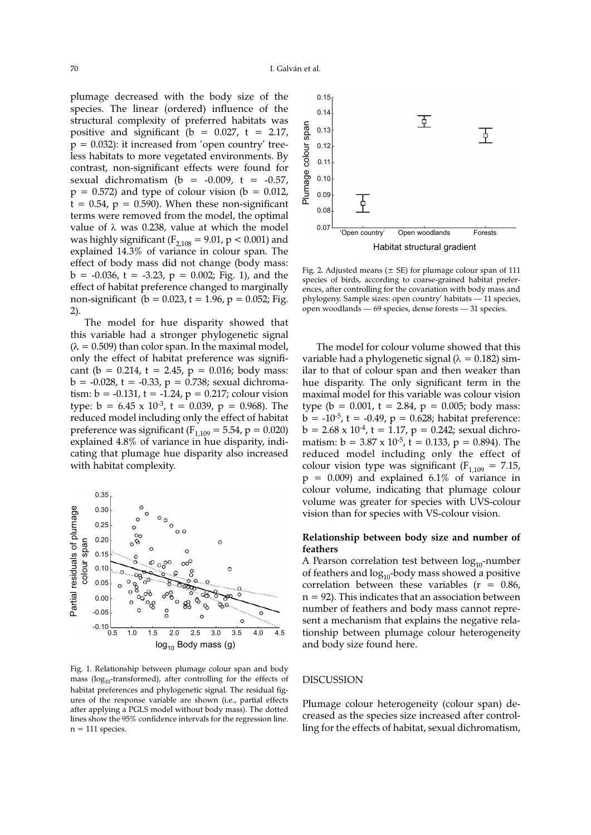plumage decreased with the body size of the species. The linear (ordered) influence of the structural complexity of preferred habitats was positive and significant ( $b = 0.027$ ,  $t = 2.17$ ,  $p = 0.032$ ): it increased from 'open country' treeless habitats to more vegetated environments. By contrast, non-significant effects were found for sexual dichromatism ( $b = -0.009$ ,  $t = -0.57$ ,  $p = 0.572$ ) and type of colour vision ( $b = 0.012$ ,  $t = 0.54$ ,  $p = 0.590$ ). When these non-significant terms were removed from the model, the optimal value of  $λ$  was 0.238, value at which the model was highly significant ( $F_{2,108} = 9.01$ ,  $p < 0.001$ ) and explained 14.3% of variance in colour span. The effect of body mass did not change (body mass:  $b = -0.036$ ,  $t = -3.23$ ,  $p = 0.002$ ; Fig. 1), and the effect of habitat preference changed to marginally non-significant ( $b = 0.023$ ,  $t = 1.96$ ,  $p = 0.052$ ; Fig. 2).

The model for hue disparity showed that this variable had a stronger phylogenetic signal  $(\lambda = 0.509)$  than color span. In the maximal model, only the effect of habitat preference was significant (b =  $0.214$ , t = 2.45, p = 0.016; body mass:  $b = -0.028$ ,  $t = -0.33$ ,  $p = 0.738$ ; sexual dichromatism:  $b = -0.131$ ,  $t = -1.24$ ,  $p = 0.217$ ; colour vision type:  $b = 6.45 \times 10^{-3}$ ,  $t = 0.039$ ,  $p = 0.968$ ). The reduced model including only the effect of habitat preference was significant ( $F_{1,109} = 5.54$ , p = 0.020) explained 4.8% of variance in hue disparity, indicating that plumage hue disparity also increased with habitat complexity.



Fig. 1. Relationship between plumage colour span and body mass ( $log<sub>10</sub>$ -transformed), after controlling for the effects of habitat preferences and phylogenetic signal. The residual figures of the response variable are shown (i.e., partial effects after applying a PGLS model without body mass). The dotted lines show the 95% confidence intervals for the regression line.  $n = 111$  species.



Fig. 2. Adjusted means ( $\pm$  SE) for plumage colour span of 111 species of birds, according to coarse-grained habitat preferences, after controlling for the covariation with body mass and phylogeny. Sample sizes: open country' habitats — 11 species, open woodlands — 69 species, dense forests — 31 species.

The model for colour volume showed that this variable had a phylogenetic signal ( $\lambda = 0.182$ ) similar to that of colour span and then weaker than hue disparity. The only significant term in the maximal model for this variable was colour vision type ( $b = 0.001$ ,  $t = 2.84$ ,  $p = 0.005$ ; body mass:  $b = -10^{-5}$ , t = -0.49, p = 0.628; habitat preference:  $b = 2.68 \times 10^{-4}$ , t = 1.17, p = 0.242; sexual dichromatism:  $b = 3.87 \times 10^{-5}$ ,  $t = 0.133$ ,  $p = 0.894$ ). The reduced model including only the effect of colour vision type was significant ( $F_{1,109} = 7.15$ ,  $p = 0.009$ ) and explained 6.1% of variance in colour volume, indicating that plumage colour volume was greater for species with UVS-colour vision than for species with VS-colour vision.

## **Relationship between body size and number of feathers**

A Pearson correlation test between  $log_{10}$ -number of feathers and  $log_{10}$ -body mass showed a positive correlation between these variables  $(r = 0.86,$  $n = 92$ ). This indicates that an association between number of feathers and body mass cannot represent a mechanism that explains the negative relationship between plumage colour heterogeneity and body size found here.

## DISCUSSION

Plumage colour heterogeneity (colour span) decreased as the species size increased after controlling for the effects of habitat, sexual dichromatism,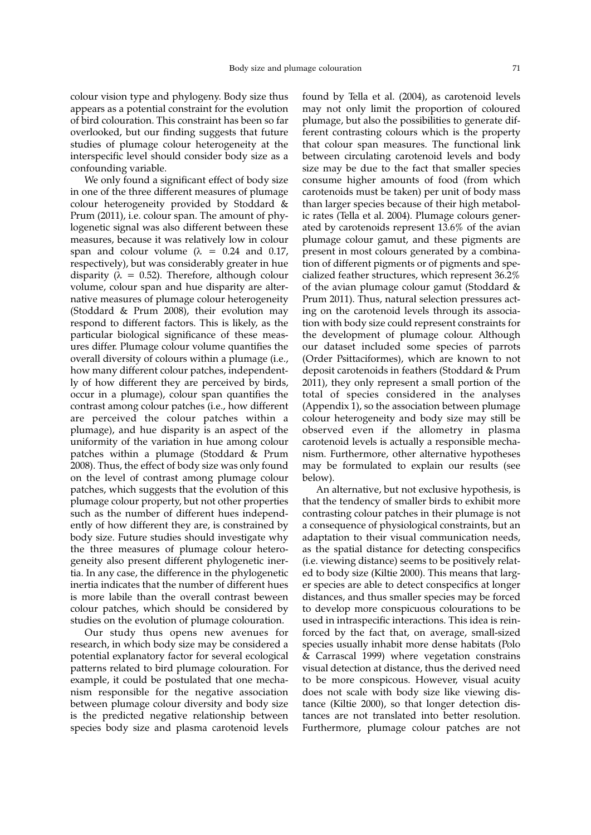colour vision type and phylogeny. Body size thus appears as a potential constraint for the evolution of bird colouration. This constraint has been so far overlooked, but our finding suggests that future studies of plumage colour heterogeneity at the interspecific level should consider body size as a confounding variable.

We only found a significant effect of body size in one of the three different measures of plumage colour heterogeneity provided by Stoddard & Prum (2011), i.e. colour span. The amount of phylogenetic signal was also different between these measures, because it was relatively low in colour span and colour volume  $(\lambda = 0.24$  and 0.17, respectively), but was considerably greater in hue disparity ( $\lambda = 0.52$ ). Therefore, although colour volume, colour span and hue disparity are alternative measures of plumage colour heterogeneity (Stoddard & Prum 2008), their evolution may respond to different factors. This is likely, as the particular biological significance of these measures differ. Plumage colour volume quantifies the overall diversity of colours within a plumage (i.e., how many different colour patches, independently of how different they are perceived by birds, occur in a plumage), colour span quantifies the contrast among colour patches (i.e., how different are perceived the colour patches within a plumage), and hue disparity is an aspect of the uniformity of the variation in hue among colour patches within a plumage (Stoddard & Prum 2008). Thus, the effect of body size was only found on the level of contrast among plumage colour patches, which suggests that the evolution of this plumage colour property, but not other properties such as the number of different hues independently of how different they are, is constrained by body size. Future studies should investigate why the three measures of plumage colour heterogeneity also present different phylogenetic inertia. In any case, the difference in the phylogenetic inertia indicates that the number of different hues is more labile than the overall contrast beween colour patches, which should be considered by studies on the evolution of plumage colouration.

Our study thus opens new avenues for research, in which body size may be considered a potential explanatory factor for several ecological patterns related to bird plumage colouration. For example, it could be postulated that one mechanism responsible for the negative association between plumage colour diversity and body size is the predicted negative relationship between species body size and plasma carotenoid levels found by Tella et al. (2004), as carotenoid levels may not only limit the proportion of coloured plumage, but also the possibilities to generate different contrasting colours which is the property that colour span measures. The functional link between circulating carotenoid levels and body size may be due to the fact that smaller species consume higher amounts of food (from which carotenoids must be taken) per unit of body mass than larger species because of their high metabolic rates (Tella et al. 2004). Plumage colours generated by carotenoids represent 13.6% of the avian plumage colour gamut, and these pigments are present in most colours generated by a combination of different pigments or of pigments and specialized feather structures, which represent 36.2% of the avian plumage colour gamut (Stoddard & Prum 2011). Thus, natural selection pressures acting on the carotenoid levels through its association with body size could represent constraints for the development of plumage colour. Although our dataset included some species of parrots (Order Psittaciformes), which are known to not deposit carotenoids in feathers (Stoddard & Prum 2011), they only represent a small portion of the total of species considered in the analyses (Appendix 1), so the association between plumage colour heterogeneity and body size may still be observed even if the allometry in plasma carotenoid levels is actually a responsible mechanism. Furthermore, other alternative hypotheses may be formulated to explain our results (see below).

An alternative, but not exclusive hypothesis, is that the tendency of smaller birds to exhibit more contrasting colour patches in their plumage is not a consequence of physiological constraints, but an adaptation to their visual communication needs, as the spatial distance for detecting conspecifics (i.e. viewing distance) seems to be positively related to body size (Kiltie 2000). This means that larger species are able to detect conspecifics at longer distances, and thus smaller species may be forced to develop more conspicuous colourations to be used in intraspecific interactions. This idea is reinforced by the fact that, on average, small-sized species usually inhabit more dense habitats (Polo & Carrascal 1999) where vegetation constrains visual detection at distance, thus the derived need to be more conspicous. However, visual acuity does not scale with body size like viewing distance (Kiltie 2000), so that longer detection distances are not translated into better resolution. Furthermore, plumage colour patches are not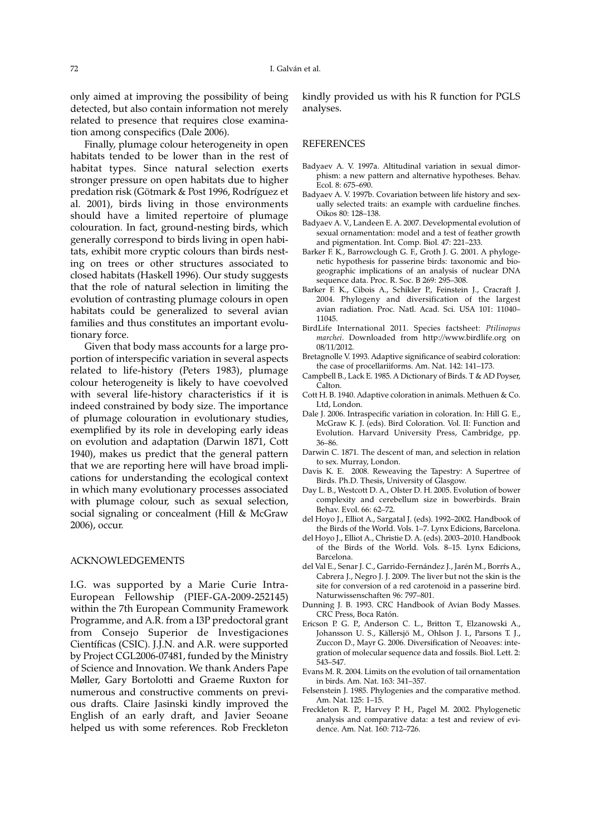only aimed at improving the possibility of being detected, but also contain information not merely related to presence that requires close examination among conspecifics (Dale 2006).

Finally, plumage colour heterogeneity in open habitats tended to be lower than in the rest of habitat types. Since natural selection exerts stronger pressure on open habitats due to higher predation risk (Götmark & Post 1996, Rodríguez et al. 2001), birds living in those environments should have a limited repertoire of plumage colouration. In fact, ground-nesting birds, which generally correspond to birds living in open habitats, exhibit more cryptic colours than birds nesting on trees or other structures associated to closed habitats (Haskell 1996). Our study suggests that the role of natural selection in limiting the evolution of contrasting plumage colours in open habitats could be generalized to several avian families and thus constitutes an important evolutionary force.

Given that body mass accounts for a large proportion of interspecific variation in several aspects related to life-history (Peters 1983), plumage colour heterogeneity is likely to have coevolved with several life-history characteristics if it is indeed constrained by body size. The importance of plumage colouration in evolutionary studies, exemplified by its role in developing early ideas on evolution and adaptation (Darwin 1871, Cott 1940), makes us predict that the general pattern that we are reporting here will have broad implications for understanding the ecological context in which many evolutionary processes associated with plumage colour, such as sexual selection, social signaling or concealment (Hill & McGraw 2006), occur.

## ACKNOWLEDGEMENTS

I.G. was supported by a Marie Curie Intra-European Fellowship (PIEF-GA-2009-252145) within the 7th European Community Framework Programme, and A.R. from a I3P predoctoral grant from Consejo Superior de Investigaciones Científicas (CSIC). J.J.N. and A.R. were supported by Project CGL2006-07481, funded by the Ministry of Science and Innovation. We thank Anders Pape Møller, Gary Bortolotti and Graeme Ruxton for numerous and constructive comments on previous drafts. Claire Jasinski kindly improved the English of an early draft, and Javier Seoane helped us with some references. Rob Freckleton kindly provided us with his R function for PGLS analyses.

#### REFERENCES

- Badyaev A. V. 1997a. Altitudinal variation in sexual dimorphism: a new pattern and alternative hypotheses. Behav. Ecol. 8: 675–690.
- Badyaev A. V. 1997b. Covariation between life history and sexually selected traits: an example with cardueline finches. Oikos 80: 128–138.
- Badyaev A. V., Landeen E. A. 2007. Developmental evolution of sexual ornamentation: model and a test of feather growth and pigmentation. Int. Comp. Biol. 47: 221–233.
- Barker F. K., Barrowclough G. F., Groth J. G. 2001. A phylogenetic hypothesis for passerine birds: taxonomic and biogeographic implications of an analysis of nuclear DNA sequence data. Proc. R. Soc. B 269: 295–308.
- Barker F. K., Cibois A., Schikler P., Feinstein J., Cracraft J. 2004. Phylogeny and diversification of the largest avian radiation. Proc. Natl. Acad. Sci. USA 101: 11040– 11045.
- BirdLife International 2011. Species factsheet: *Ptilinopus marchei*. Downloaded from http://www.birdlife.org on 08/11/2012.
- Bretagnolle V. 1993. Adaptive significance of seabird coloration: the case of procellariiforms. Am. Nat. 142: 141–173.
- Campbell B., Lack E. 1985. A Dictionary of Birds. T & AD Poyser, Calton.
- Cott H. B. 1940. Adaptive coloration in animals. Methuen & Co. Ltd, London.
- Dale J. 2006. Intraspecific variation in coloration. In: Hill G. E., McGraw K. J. (eds). Bird Coloration. Vol. II: Function and Evolution. Harvard University Press, Cambridge, pp. 36–86.
- Darwin C. 1871. The descent of man, and selection in relation to sex. Murray, London.
- Davis K. E. 2008. Reweaving the Tapestry: A Supertree of Birds. Ph.D. Thesis, University of Glasgow.
- Day L. B., Westcott D. A., Olster D. H. 2005. Evolution of bower complexity and cerebellum size in bowerbirds. Brain Behav. Evol. 66: 62–72.
- del Hoyo J., Elliot A., Sargatal J. (eds). 1992–2002. Handbook of the Birds of the World. Vols. 1–7. Lynx Edicions, Barcelona.
- del Hoyo J., Elliot A., Christie D. A. (eds). 2003–2010. Handbook of the Birds of the World. Vols. 8–15. Lynx Edicions, Barcelona.
- del Val E., Senar J. C., Garrido-Fernández J., Jarén M., Borrŕs A., Cabrera J., Negro J. J. 2009. The liver but not the skin is the site for conversion of a red carotenoid in a passerine bird. Naturwissenschaften 96: 797–801.
- Dunning J. B. 1993. CRC Handbook of Avian Body Masses. CRC Press, Boca Ratón.
- Ericson P. G. P., Anderson C. L., Britton T., Elzanowski A., Johansson U. S., Källersjö M., Ohlson J. I., Parsons T. J., Zuccon D., Mayr G. 2006. Diversification of Neoaves: integration of molecular sequence data and fossils. Biol. Lett. 2: 543–547.
- Evans M. R. 2004. Limits on the evolution of tail ornamentation in birds. Am. Nat. 163: 341–357.
- Felsenstein J. 1985. Phylogenies and the comparative method. Am. Nat. 125: 1–15.
- Freckleton R. P., Harvey P. H., Pagel M. 2002. Phylogenetic analysis and comparative data: a test and review of evidence. Am. Nat. 160: 712–726.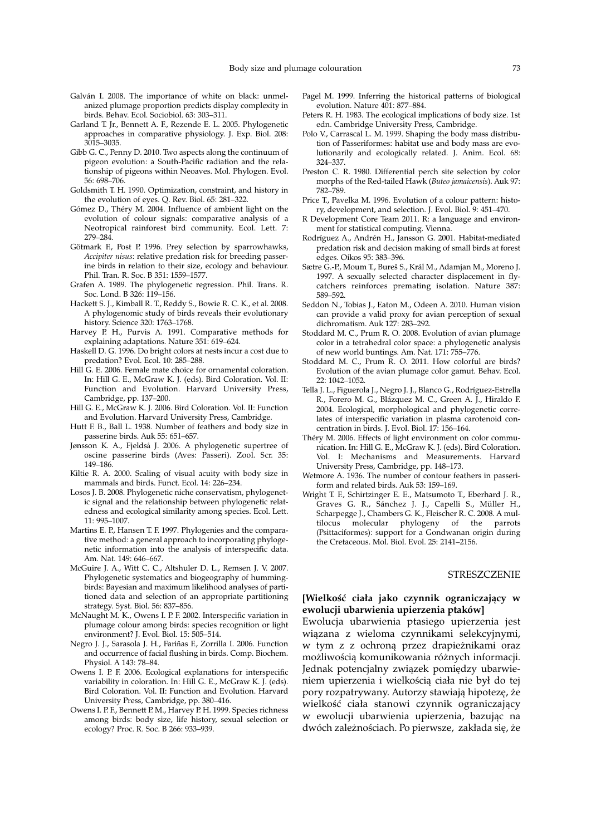- Galván I. 2008. The importance of white on black: unmelanized plumage proportion predicts display complexity in birds. Behav. Ecol. Sociobiol. 63: 303–311.
- Garland T. Jr., Bennett A. F., Rezende E. L. 2005. Phylogenetic approaches in comparative physiology. J. Exp. Biol. 208: 3015–3035.
- Gibb G. C., Penny D. 2010. Two aspects along the continuum of pigeon evolution: a South-Pacific radiation and the relationship of pigeons within Neoaves. Mol. Phylogen. Evol. 56: 698–706.
- Goldsmith T. H. 1990. Optimization, constraint, and history in the evolution of eyes. Q. Rev. Biol. 65: 281–322.
- Gómez D., Théry M. 2004. Influence of ambient light on the evolution of colour signals: comparative analysis of a Neotropical rainforest bird community. Ecol. Lett. 7: 279–284.
- Götmark F., Post P. 1996. Prey selection by sparrowhawks, *Accipiter nisus*: relative predation risk for breeding passerine birds in relation to their size, ecology and behaviour. Phil. Tran. R. Soc. B 351: 1559–1577.
- Grafen A. 1989. The phylogenetic regression. Phil. Trans. R. Soc. Lond. B 326: 119–156.
- Hackett S. J., Kimball R. T., Reddy S., Bowie R. C. K., et al. 2008. A phylogenomic study of birds reveals their evolutionary history. Science 320: 1763–1768.
- Harvey P. H., Purvis A. 1991. Comparative methods for explaining adaptations. Nature 351: 619–624.
- Haskell D. G. 1996. Do bright colors at nests incur a cost due to predation? Evol. Ecol. 10: 285–288.
- Hill G. E. 2006. Female mate choice for ornamental coloration. In: Hill G. E., McGraw K. J. (eds). Bird Coloration. Vol. II: Function and Evolution. Harvard University Press, Cambridge, pp. 137–200.
- Hill G. E., McGraw K. J. 2006. Bird Coloration. Vol. II: Function and Evolution. Harvard University Press, Cambridge.
- Hutt F. B., Ball L. 1938. Number of feathers and body size in passerine birds. Auk 55: 651–657.
- Jønsson K. A., Fjeldså J. 2006. A phylogenetic supertree of oscine passerine birds (Aves: Passeri). Zool. Scr. 35: 149–186.
- Kiltie R. A. 2000. Scaling of visual acuity with body size in mammals and birds. Funct. Ecol. 14: 226–234.
- Losos J. B. 2008. Phylogenetic niche conservatism, phylogenetic signal and the relationship between phylogenetic relatedness and ecological similarity among species. Ecol. Lett. 11: 995–1007.
- Martins E. P., Hansen T. F. 1997. Phylogenies and the comparative method: a general approach to incorporating phylogenetic information into the analysis of interspecific data. Am. Nat. 149: 646–667.
- McGuire J. A., Witt C. C., Altshuler D. L., Remsen J. V. 2007. Phylogenetic systematics and biogeography of hummingbirds: Bayesian and maximum likelihood analyses of partitioned data and selection of an appropriate partitioning strategy. Syst. Biol. 56: 837–856.
- McNaught M. K., Owens I. P. F. 2002. Interspecific variation in plumage colour among birds: species recognition or light environment? J. Evol. Biol. 15: 505–514.
- Negro J. J., Sarasola J. H., Fariñas F., Zorrilla I. 2006. Function and occurrence of facial flushing in birds. Comp. Biochem. Physiol. A 143: 78–84.
- Owens I. P. F. 2006. Ecological explanations for interspecific variability in coloration. In: Hill G. E., McGraw K. J. (eds). Bird Coloration. Vol. II: Function and Evolution. Harvard University Press, Cambridge, pp. 380–416.
- Owens I. P. F., Bennett P. M., Harvey P. H. 1999. Species richness among birds: body size, life history, sexual selection or ecology? Proc. R. Soc. B 266: 933–939.
- Pagel M. 1999. Inferring the historical patterns of biological evolution. Nature 401: 877–884.
- Peters R. H. 1983. The ecological implications of body size. 1st edn. Cambridge University Press, Cambridge.
- Polo V., Carrascal L. M. 1999. Shaping the body mass distribution of Passeriformes: habitat use and body mass are evolutionarily and ecologically related. J. Anim. Ecol. 68: 324–337.
- Preston C. R. 1980. Differential perch site selection by color morphs of the Red-tailed Hawk (*Buteo jamaicensis*). Auk 97: 782–789.
- Price T., Pavelka M. 1996. Evolution of a colour pattern: history, development, and selection. J. Evol. Biol. 9: 451–470.
- R Development Core Team 2011. R: a language and environment for statistical computing. Vienna.
- Rodríguez A., Andrén H., Jansson G. 2001. Habitat-mediated predation risk and decision making of small birds at forest edges. Oikos 95: 383–396.
- Sætre G.-P., Moum T., Bureš S., Král M., Adamjan M., Moreno J. 1997. A sexually selected character displacement in flycatchers reinforces premating isolation. Nature 387: 589–592.
- Seddon N., Tobias J., Eaton M., Odeen A. 2010. Human vision can provide a valid proxy for avian perception of sexual dichromatism. Auk 127: 283–292.
- Stoddard M. C., Prum R. O. 2008. Evolution of avian plumage color in a tetrahedral color space: a phylogenetic analysis of new world buntings. Am. Nat. 171: 755–776.
- Stoddard M. C., Prum R. O. 2011. How colorful are birds? Evolution of the avian plumage color gamut. Behav. Ecol. 22: 1042–1052.
- Tella J. L., Figuerola J., Negro J. J., Blanco G., Rodríguez-Estrella R., Forero M. G., Blázquez M. C., Green A. J., Hiraldo F. 2004. Ecological, morphological and phylogenetic correlates of interspecific variation in plasma carotenoid concentration in birds. J. Evol. Biol. 17: 156–164.
- Théry M. 2006. Effects of light environment on color communication. In: Hill G. E., McGraw K. J. (eds). Bird Coloration. Vol. I: Mechanisms and Measurements. Harvard University Press, Cambridge, pp. 148–173.
- Wetmore A. 1936. The number of contour feathers in passeriform and related birds. Auk 53: 159–169.
- Wright T. F., Schirtzinger E. E., Matsumoto T., Eberhard J. R., Graves G. R., Sánchez J. J., Capelli S., Müller H., Scharpegge J., Chambers G. K., Fleischer R. C. 2008. A multilocus molecular phylogeny of the parrots (Psittaciformes): support for a Gondwanan origin during the Cretaceous. Mol. Biol. Evol. 25: 2141–2156.

#### **STRESZCZENIE**

# **[Wielkość ciała jako czynnik ograniczający w ewolucji ubarwienia upierzenia ptaków]**

Ewolucja ubarwienia ptasiego upierzenia jest wiązana z wieloma czynnikami selekcyjnymi, w tym z z ochroną przez drapieżnikami oraz możliwością komunikowania różnych informacji. Jednak potencjalny związek pomiędzy ubarwieniem upierzenia i wielkością ciała nie był do tej pory rozpatrywany. Autorzy stawiają hipotezę, że wielkość ciała stanowi czynnik ograniczający w ewolucji ubarwienia upierzenia, bazując na dwóch zależnościach. Po pierwsze, zakłada się, że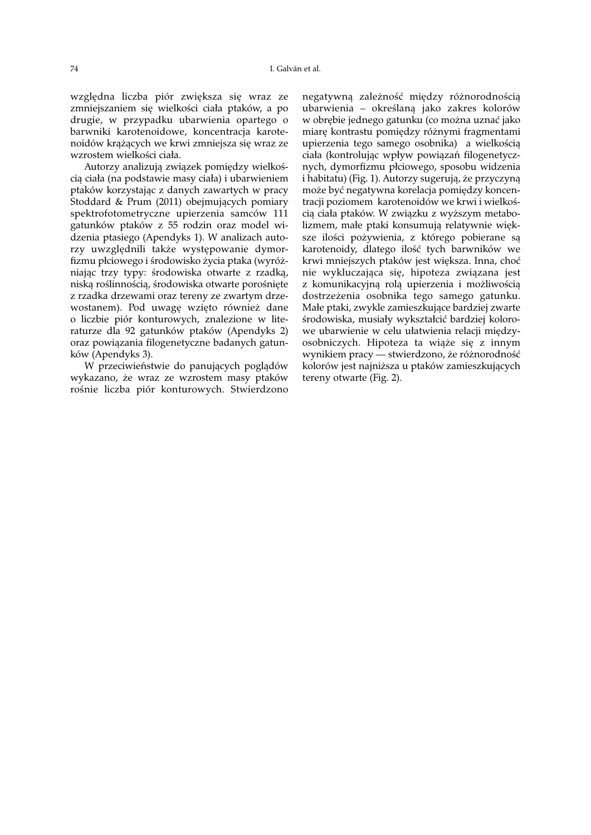względna liczba piór zwiększa się wraz ze zmniejszaniem się wielkości ciała ptaków, a po drugie, w przypadku ubarwienia opartego o barwniki karotenoidowe, koncentracja karotenoidów krążących we krwi zmniejsza się wraz ze wzrostem wielkości ciała.

Autorzy analizują związek pomiędzy wielkością ciała (na podstawie masy ciała) i ubarwieniem ptaków korzystając z danych zawartych w pracy Stoddard & Prum (2011) obejmujących pomiary spektrofotometryczne upierzenia samców 111 gatunków ptaków z 55 rodzin oraz model widzenia ptasiego (Apendyks 1). W analizach autorzy uwzględnili także występowanie dymorfizmu płciowego i środowisko życia ptaka (wyróżniając trzy typy: środowiska otwarte z rzadką, niską roślinnością, środowiska otwarte porośnięte z rzadka drzewami oraz tereny ze zwartym drzewostanem). Pod uwagę wzięto również dane o liczbie piór konturowych, znalezione w literaturze dla 92 gatunków ptaków (Apendyks 2) oraz powiązania filogenetyczne badanych gatun ków (Apendyks 3).

W przeciwieństwie do panujących poglądów wykazano, że wraz ze wzrostem masy ptaków rośnie liczba piór konturowych. Stwierdzono

negatywną zależność między różnorodnością ubarwienia – określaną jako zakres kolorów w obrębie jednego gatunku (co można uznać jako miarę kontrastu pomiędzy różnymi fragmentami upierzenia tego samego osobnika) a wielkością ciała (kontrolując wpływ powiązań filogenetycznych, dymorfizmu płciowego, sposobu widzenia i habitatu) (Fig. 1). Autorzy sugerują, że przyczyną może być negatywna korelacja pomiędzy koncentracji poziomem karotenoidów we krwi i wielkością ciała ptaków. W związku z wyższym metabolizmem, małe ptaki konsumują relatywnie większe ilości pożywienia, z którego pobierane są karotenoidy, dlatego ilość tych barwników we krwi mniejszych ptaków jest większa. Inna, choć nie wykluczająca się, hipoteza związana jest z komunikacyjną rolą upierzenia i możliwością dostrzeżenia osobnika tego samego gatunku. Małe ptaki, zwykle zamieszkujące bardziej zwarte środowiska, musiały wykształcić bardziej kolorowe ubarwienie w celu ułatwienia relacji międzyosobniczych. Hipoteza ta wiąże się z innym wynikiem pracy — stwierdzono, że różnorodność kolorów jest najniższa u ptaków zamieszkujących tereny otwarte (Fig. 2).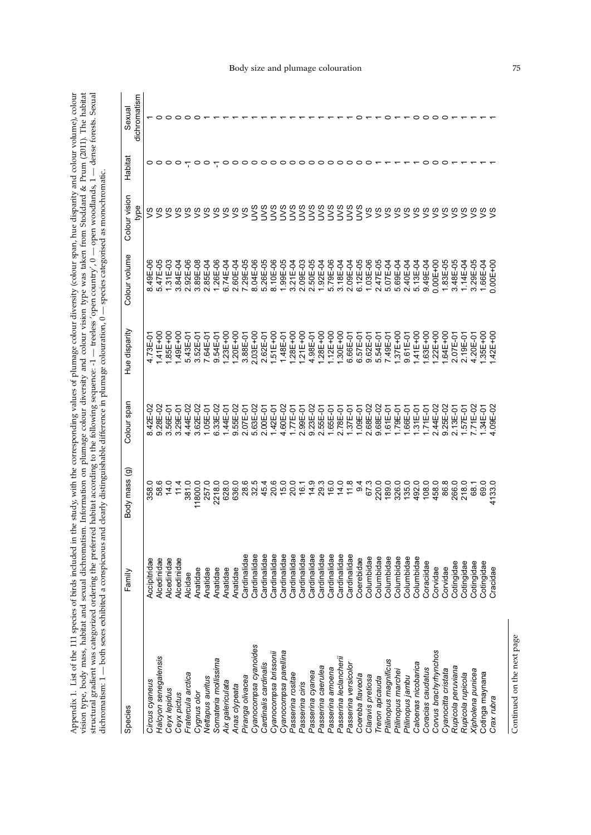| the study, with the corresponding values of plumage colour diversity (colour span, hue disparity and colour volume), colour<br>vm. Intormation on plumage colour diversity and colour vision type was taken from Stoddard & Prum (2011). The habitat<br>ed habitat according to the following sequence: $-1$ — treeless 'open country', $0$ — open woodlands, $1$ — dense forests. Sexual<br>nd clearly distinguishable difference in plumage colouration, 0 — species categorised as monochromatic. |
|------------------------------------------------------------------------------------------------------------------------------------------------------------------------------------------------------------------------------------------------------------------------------------------------------------------------------------------------------------------------------------------------------------------------------------------------------------------------------------------------------|
|                                                                                                                                                                                                                                                                                                                                                                                                                                                                                                      |
|                                                                                                                                                                                                                                                                                                                                                                                                                                                                                                      |
|                                                                                                                                                                                                                                                                                                                                                                                                                                                                                                      |
|                                                                                                                                                                                                                                                                                                                                                                                                                                                                                                      |
|                                                                                                                                                                                                                                                                                                                                                                                                                                                                                                      |
|                                                                                                                                                                                                                                                                                                                                                                                                                                                                                                      |
|                                                                                                                                                                                                                                                                                                                                                                                                                                                                                                      |
|                                                                                                                                                                                                                                                                                                                                                                                                                                                                                                      |
|                                                                                                                                                                                                                                                                                                                                                                                                                                                                                                      |
|                                                                                                                                                                                                                                                                                                                                                                                                                                                                                                      |
|                                                                                                                                                                                                                                                                                                                                                                                                                                                                                                      |
|                                                                                                                                                                                                                                                                                                                                                                                                                                                                                                      |
|                                                                                                                                                                                                                                                                                                                                                                                                                                                                                                      |
|                                                                                                                                                                                                                                                                                                                                                                                                                                                                                                      |
|                                                                                                                                                                                                                                                                                                                                                                                                                                                                                                      |
|                                                                                                                                                                                                                                                                                                                                                                                                                                                                                                      |
|                                                                                                                                                                                                                                                                                                                                                                                                                                                                                                      |
| tructural gradient was categorized ordering the preferre<br>vision type, body mass, habitat and sexual dichromatist.<br>ichromatism: 1 — both sexes exhibited a conspicuous are<br>suppendix 1. List of the 111 species of birds included in                                                                                                                                                                                                                                                         |

| Species                | Family       | Body mass (g)  | Colour span                          | Hue disparity              | Colour volume | Colour vision<br>type | Habitat | dichromatism<br>Sexual |
|------------------------|--------------|----------------|--------------------------------------|----------------------------|---------------|-----------------------|---------|------------------------|
| Circus cyaneus         | Accipitridae | 358.0          | 42E-02                               | $4.73E - 0$                | $-49E-06$     |                       |         |                        |
| Halcyon senegalensis   | Alcedinidae  | 58.6           | 9.28E-02                             | $41E+00$                   | 5.47E-05      |                       |         |                        |
| Ceyx lepidus           | Alcedinidae  | 14.0           | 56E-01<br>က                          | $1.85E + 00$               | $1.31E-03$    |                       |         |                        |
| Ceyx pictus            | Alcedinidae  | $\frac{4}{11}$ | 29E-0<br>က                           | $1.49E + 00$               | 3.84E-04      | ୨                     |         |                        |
| Fratercula arctica     | Alcidae      | 381.0          | 4.44E-02                             | 5.43E-01                   | 2.92E-06      | ୨                     | ᡪ       |                        |
| Cygnus olor            | Anatidae     | 11800.0        | $62E - 02$<br>က                      | $3.52E-0$                  | 3.89E-08      | Š                     | $\circ$ |                        |
| Nettapus auritus       | Anatidae     | 257.0          | $1.05E - 01$                         | 7.64E-0                    | 2.85E-04      | $\frac{8}{5}$         | $\circ$ |                        |
| Somateria mollissima   | Anatidae     | 2218.0         | 33E-02<br>ۊ                          | 9.54E-01                   | 1.26E-06      | $\Im$                 |         |                        |
| Aix galericulata       | Anatidae     | 628.0          | $1.44E - 01$                         | $1.23E + 00$               | 6.74E-04      | 559                   |         |                        |
| Anas clypeata          | Anatidae     | 636.0          | 9.55E-02                             | $1.20E + 00$               | 2.60E-04      |                       |         |                        |
| Piranga olivacea       | Cardinalidae | 28.6           | $07E - 01$<br>$\mathbf{a}$           | $3.88E - 0$                | 7.29E-05      |                       |         |                        |
| Cyanocompsa cyanoides  | Cardinalidae | 32.5           | 63E-02<br>ιó                         | $2.03E + 00$               | 8.04E-06      | S                     |         |                        |
| Cardinalis cardinalis  | Cardinalidae | 45.4           | 00E-01<br>$\sim$                     | 2.62E-01                   | 5.26E-05      | SAN                   |         |                        |
| Cyanocompsa brissonii  | Cardinalidae | 20.6           | $1.42E - 01$                         | $1.51E + 00$               | 8.10E-06      | S                     |         |                        |
| Cyanocompsa parellina  | Cardinalidae | 15.0           | $.60E - 02$<br>4                     | 48E-01                     | 1.99E-05      |                       |         |                        |
| Passerina rositae      | Cardinalidae | 20.0           | 1.77E-01                             | $.28E + 00$                | 3.21E-04      |                       |         |                        |
| Passerina ciris        | Cardinalidae | 16.1           | $.99E-01$<br>$\overline{\mathsf{N}}$ | $.21E + 00$                | 2.09E-03      |                       |         |                        |
| Passerina cyanea       | Cardinalidae | 14.9           | $23E - 02$<br>တ                      | 4.98E-01                   | 2.50E-05      |                       |         |                        |
| Passerina caerulea     | Cardinalidae | 29.3           | 55E-01<br>$\overline{\mathsf{N}}$    | $28E + 00$                 | $92E-04$      |                       |         |                        |
| Passerina amoena       | Cardinalidae | 16.0           | $1.65E - 01$                         | $.12E+00$                  | 5.79E-06      |                       |         |                        |
| Passerina leclancherii | Cardinalidae | 14.0           | 2.78E-01                             | $1.30E + 00$               | 3.18E-04      |                       |         |                        |
| Passerina versicolor   | Cardinalidae | 11.8           | 1.37E-01                             | 6.66E-01                   | 2.09E-04      |                       |         |                        |
| Coereba flaveola       | Coerebidae   | 9.4            | $1.09E-01$                           | $6.57E - 0$                | $6.12E-05$    |                       |         |                        |
| Claravis pretiosa      | Columbidae   | 67.3           | SO-389.                              | $9.62E - 0$                | 1.03E-06      | 550                   |         |                        |
| Treron apicauda        | Columbidae   | 220.0          | S8E-02<br>တ                          | 5.54E-0                    | 2.47E-05      |                       |         |                        |
| Ptilinopus magnificus  | Columbidae   | 189.0          | $-61E - 01$                          | '.49E-01<br>$\overline{ }$ | 5.07E-04      |                       |         |                        |
| Ptilinopus marchei     | Columbidae   | 326.0          | $79E-01$                             | 1.37E+00                   | 5.69E-04      | $\Im$                 |         |                        |
| Ptilinopus jambu       | Columbidae   | 135.0          | 66E-01                               | 0.116<br>တ                 | 2.40E-04      | $\Im$                 |         |                        |
| Caloenas nicobarica    | Columbidae   | 492.0          | $.31E - 01$                          | $41E + 00$                 | 5.13E-04      | $\frac{8}{3}$         |         |                        |
| Coracias caudatus      | Coraciidae   | 108.0          | 1.71E-01                             | $.63E + 00$                | $9.49E-04$    | $\frac{8}{3}$         |         |                        |
| Corvus brachyrhynchos  | Corvidae     | 458.0          | 44E-02<br>Ń۰                         | $.22E + 00$                | $0.00E + 00$  | $\Im$                 |         |                        |
| Cyanocitta cristata    | Corvidae     | 86.8           | 25E-02<br>တ                          | 64E+00                     | 1.83E-05      | $\Im$                 |         |                        |
| Rupicola peruviana     | Cotingidae   | 266.0          | $2.13E - 01$                         | 2.07E-01                   | 3.48E-05      | $\Im$                 |         |                        |
| Rupicola rupicola      | Cotingidae   | 218.0          | 1.57E-01                             | $2.19E - 0$                | 1.14E-04      | ୨ଁ                    |         |                        |
| Xipholena punicea      | Cotingidae   | 68.1           | 7.71E-02                             | 4.20E-01                   | 3.29E-05      | ୨ଁ                    |         |                        |
| Cotinga maynana        | Cotingidae   | 69.0           | $.34E - 01$                          | $.35E + 00$                | 1.66E-04      | ୨                     |         |                        |
| Crax rubra             | Cracidae     | 4133.0         | $0.09E - 02$                         | $42E+00$                   | $0.00E + 00$  |                       |         |                        |
|                        |              |                |                                      |                            |               |                       |         |                        |

Continued on the next page Continued on the next page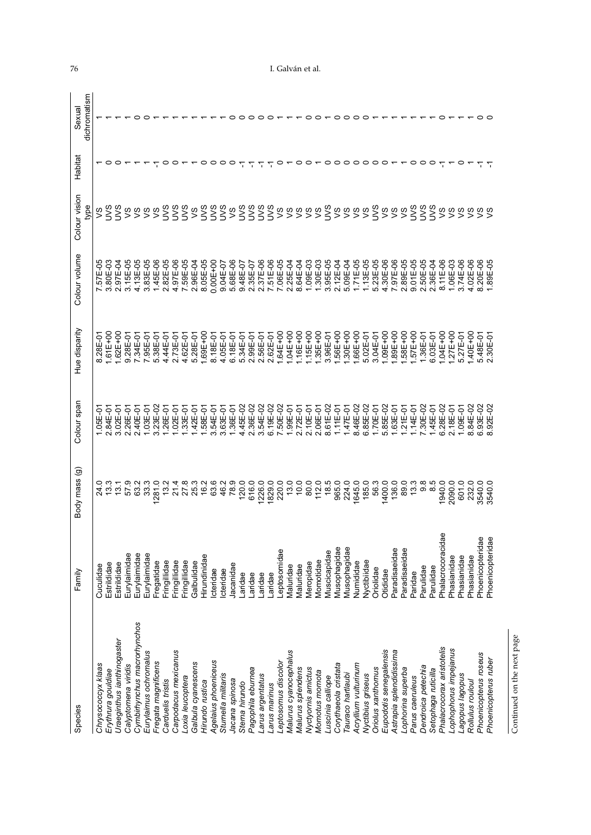| Species                                 | Family            | Body mass (g)    | Colour span     | Hue disparity | Colour volume | Colour vision<br>type | Habitat | dichromatism<br>Sexual |
|-----------------------------------------|-------------------|------------------|-----------------|---------------|---------------|-----------------------|---------|------------------------|
| Chrysococcyx klaas                      | Cuculidae         |                  | $0.05E - 01$    | $8.28E - 0$   |               |                       |         |                        |
|                                         |                   | 24.3<br>13.3     |                 |               | 7.57E-05      |                       |         |                        |
| Erythrura gouldiae                      | Estrildidae       |                  | $-34E-01$       | $1.61E + 00$  | 3.80E-03      | $\breve{\le}$         |         |                        |
| Uraeginthus ianthinogaster              | Estrildidae       | 13.1             | $3.02E - 0$     | $1.62E + 00$  | 2.97E-04      | $\leq$                |         |                        |
| Calyptomena viridis                     | Eurylaimidae      | 57.9             | $2.26E - 0$     | 9.28E-01      | 3.15E-05      |                       |         |                        |
| Cymbirhynchus macrorhynchos             | Eurylaimidae      | 63.2             | $2.40E - 0'$    | 7.34E-01      | 4.13E-05      |                       |         |                        |
| Eurylaimus ochromalus                   | Eurylaimidae      | 33.3             | $1.03E - 0'$    | 7.95E-01      | 3.83E-05      |                       |         |                        |
| Fregata magnificens                     | Fregatidae        | 1281.0           | 3.23E-02        | 5.38E-01      | 1.45E-06      | 8888                  |         |                        |
| Carduelis tristis                       | Fringillidae      | 13.2             | $1.26E - 0$     | 4.44E-0       | 2.82E-05      |                       | o       |                        |
| Carpodacus mexicanus                    | Fringillidae      | 21.4             | $.02E-0$        | 2.73E-01      | 4.97E-06      |                       |         |                        |
| oxia leucoptera                         | Fringillidae      | 27.8             | $1.33E - 0$     | 4.62E-01      | 7.59E-05      |                       |         |                        |
| Galbula cyanescens                      | Galbulidae        | 25.3             | $42E-01$        | 5.28E-01      | 2.96E-04      |                       |         |                        |
| Hirundo rustica                         | Hirundinidae      | 16.2             | $1.58E - 0$     | $1.69E + 00$  | 8.05E-05      |                       |         |                        |
| Agelaius phoeniceus                     | cteridae          | 63.6             | 3.54E-0         | 8.18E-01      | $0.00E+00$    |                       |         |                        |
| Sturnella militaris                     | cteridae          | 46.2             | 3.63E-01        | 4.05E-01      | 9.04E-07      |                       |         |                        |
| Jacana spinosa                          | Jacanidae         | 78.9             | 1.36E-01        | $6.18E - 01$  | 5.68E-06      |                       |         |                        |
| Sterna hirundo                          | Laridae           | 120.0            | 45E-02<br>4     | 5.34E-01      | 9.48E-07      |                       |         |                        |
| Pagophila eburnea                       | -aridae           | 616.0            | 2.36E-02        | 2.99E-01      | 2.35E-07      |                       | ᡪ       |                        |
| arus argentatus                         | aridae            | 1226.0           | 3.54E-02        | 2.56E-01      | 2.37E-06      |                       | ᡪ       | 000                    |
| Larus marinus                           | -aridae           | 1829.0           | $6.19E-02$      | 2.62E-01      | 7.51E-06      |                       | 7       |                        |
| Leptosomus discolor                     | Leptosomidae      | 220.0            | 7.50E-02        | $1.64E+00$    | 7.06E-05      |                       |         |                        |
| Malurus cyanocephalus                   | Maluridae         | 13.0             | 1.99E-01        | $1.04E + 00$  | 2.25E-04      |                       |         |                        |
| Malurus splendens                       | Maluridae         | 10.0             | 2.72E-01        | $.16E + 00$   | 8.64E-04      |                       |         |                        |
| Nyctyornis amictus                      | Meropidae         | 80.0             | $2.10E - 0'$    | $1.15E + 00$  | $1.09E-03$    |                       |         |                        |
| Momotus momota                          | Momotidae         | 112.0            | 2.06E-01        | $1.35E + 00$  | 1.30E-03      |                       |         | っ                      |
| Luscinia calliope                       | Muscicapidae      | 18.5             | 8.61E-02        | 3.96E-01      | 3.95E-05      |                       |         |                        |
| Corythaeola cristata                    | Musophagidae      | 965.0            | <b>1.11E-01</b> | 1.56E+00      | 2.12E-04      |                       |         | റ റ                    |
| Tauraco hartlaubi                       | Musophagidae      | 224.0            | $1.47E - 01$    | $1.30E + 00$  | 5.09E-04      |                       |         |                        |
| Acryllium vulturinum                    | Numididae         | 1645.0           | 46E-02<br>ထ     | 1.66E+00      | $1.71E-05$    |                       |         | 00                     |
| Nyctibius griseus                       | Vyctibiidae       | 185.0            | 6.85E-02        | 5.02E-01      | $1.13E - 05$  |                       |         |                        |
| Oriolus xanthornus                      | Oriolidae         | 56.3             | 1.70E-01        | 3.04E-01      | 5.23E-05      |                       |         |                        |
| Eupodotis senegalensis                  | Otididae          | 1400.0           | 5.85E-02        | $1.09E + 00$  | 4.30E-06      |                       |         |                        |
| Astrapia splendidissima                 | Paradisaeidae     | 136.0            | $1.63E-01$      | $1.89E + 00$  | 7.97E-06      |                       |         |                        |
| Lophorina superba                       | Paradisaeidae     | 89.0             | 1.21E-01        | 1.58E+00      | 2.89E-05      |                       |         |                        |
| Parus caeruleus                         | Paridae           | 13.3             | $.14E-01$       | $.57E + 00$   | $9.01E-05$    |                       |         |                        |
| Dendroica petechia                      | Parulidae         | $9.\overline{8}$ | $.30E-02$       | 1.36E-01      | 2.50E-05      |                       |         |                        |
| Setophaga ruticilla                     | Parulidae         | 8.5              | $1.45E - 01$    | $6.03E - 01$  | 2.36E-04      |                       |         |                        |
| Phalacrocorax aristotelis               | Phalacrocoracidae | 1940.0           | $6.28E - 02$    | 1.04E+00      | 8.11E-06      |                       |         |                        |
| Lophophorus impejanus                   | Phasianidae       | 2090.0           | 2.18E-01        | $1.27E + 00$  | 1.06E-03      |                       |         |                        |
| sndobe <sub>l</sub> sndobe <sub>7</sub> | Phasianidae       | 601.0            | $1.09E-01$      | 5.27E-01      | 3.74E-06      |                       |         |                        |
| Rollulus rouloul                        | Phasianidae       | 232.0            | 84E-02          | $1.40E + 00$  | 4.02E-06      |                       |         |                        |
| Phoenicopterus roseus                   | Phoenicopteridae  | 3540.0           | 93E-02          | $5.48E - 0$   | 8.20E-06      |                       |         |                        |
| Phoenicopterus ruber                    | Phoenicopteridae  | 3540.0           | 92E-02          | $2.30E - 0$   | $1.89E - 05$  |                       |         |                        |
|                                         |                   |                  |                 |               |               |                       |         |                        |

Continued on the next page Continued on the next page

76 I. Galván et al.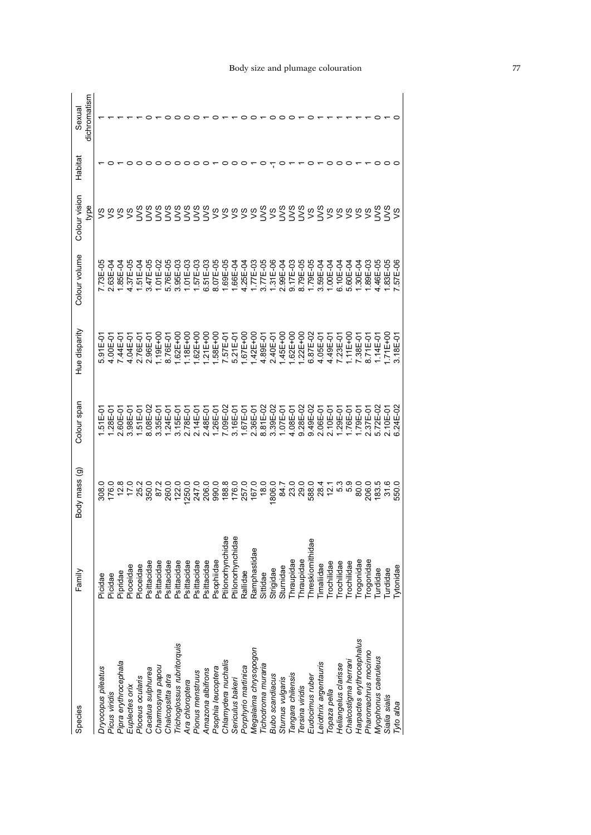| Species                    | Family                 | Body mass (g)      | Colour span       | Hue disparity | Colour volume | Colour vision        | Habitat | Sexual       |
|----------------------------|------------------------|--------------------|-------------------|---------------|---------------|----------------------|---------|--------------|
|                            |                        |                    |                   |               |               | type                 |         | dichromatism |
| Dryocopus pileatus         | Picidae                | 308.0              | $51E-01$          | $5.91E-0$     | 773E-05       |                      |         |              |
| Picus viridis              | Picidae                | 176.0              | $-28E - 0$        | 4.00 $E - 0$  | 2.63E-04      | 58                   |         |              |
| Pipra erythrocephala       | Pipridae               | 12.8               | $-50E-0$          | $7.44E - 0$   | 85E-04        |                      |         |              |
| Euplectes orix             | Ploceidae              | 17.0               | .98E-01<br>က      | 4.04E-0       | $.37E - 05$   | $\frac{8}{2}$        |         |              |
| Ploceus ocularis           | Ploceidae              | 25.2               | 51E-01            | $2.76E - 0$   | $51E-04$      | $\stackrel{6}{\leq}$ |         |              |
| Cacatua sulphurea          | Psittacidae            | 350.0              | $0.08E - 02$<br>∞ | $2.96E - 0$   | 47E-05        |                      |         |              |
| Charmosyna papou           | Psittacidae            | 87.2               | 3.35E-01          | 1.19E+00      | 1.01E-02      |                      |         |              |
| Chalcopsitta atra          | Psittacidae            | 260.0              | $.24E - 01$       | 8.76E-01      | 5.76E-05      |                      |         |              |
| Trichoglossus rubritorquis | Psittacidae            | 122.0              | $3.15E - 01$      | $.62E + 00$   | $-35E-03$     |                      |         |              |
| Ara chloroptera            | Psittacidae            | 250.0              | 2.78E-01          | $.18E+00$     | $.01E-03$     |                      |         |              |
| Pionus menstruus           | Psittacidae            | 247.0              | $2.14E-01$        | $.62E + 00$   | $.57E-03$     |                      |         |              |
| Amazona albifrons          | Psittacidae            | 206.0              | 2.48E-01          | $21E+00$      | 6.51E-03      |                      |         |              |
| Psophia leucoptera         | Psophiidae             | 990.0              | $1.26E - 01$      | 58E+00        | 8.07E-05      |                      |         |              |
| Chlamydera nuchalis        | Ptilonorhynchidae      | 188.8              | 7.09E-02          | 7.57E-01      | $-395-05$     |                      |         |              |
| Sericulus bakeri           | Ptilonorhynchidae      | 176.0              | 3.16E-01          | 5.21E-01      | $-395 - 34$   |                      |         |              |
| Porphyrio martinica        | Rallidae               | 257.0              | $1.67E - 01$      | $.67E + 00$   | 25E-04        |                      |         |              |
| Megalaima chrysopogon      | Ramphastidae           | 167.0              | 2.36E-01          | $42E+00$      | $.77E-03$     |                      |         |              |
| Tichodroma muraria         | Sittidae               | 18.0               | $-81E - 02$<br>∞  | 4.89E-01      | 3.77E-05      |                      |         |              |
| <b>Bubo</b> scandiacus     | Strigidae              | 806.0              | 3.39E-02          | 2.40E-01      | $31E-06$      |                      |         |              |
| Sturnus vulgaris           | Sturnidae              | 84.7               | $07E-01$          | $45E+00$      | 2.99E-04      |                      |         |              |
| Tangara chilensis          | Thraupidae             | 23.0               | 4.08E-01          | $62E + 00$    | $9.17E-03$    |                      |         |              |
| Tersina viridis            | Thraupidae             | 29.0               | 9.28E-02          | $-22E + 00$   | 8.79E-05      |                      |         |              |
| Eudocimus ruber            | hreskiornithidae       | 588.0              | 49E-02<br>တ       | 6.87E-02      | $.79E-05$     |                      |         |              |
| Leiothrix argentauris      | imaliidae              | 28.4               | $0.05 = 300$      | 4.05E-01      | 59E-04        |                      |         |              |
| Topaza pella               | Trochilidae            |                    | $2.10E - 01$      | $-36E-01$     | $0.00E-04$    |                      |         |              |
| Heliangelus clarisse       | Trochilidae            | $\frac{12.1}{5.3}$ | $.29E-01$         | $23E-01$      | 6.10E-04      |                      |         |              |
| Chalcostigma herrani       | rochilidae             | 5.9                | $.76E-01$         | $.11E + 00$   | 60E-04        |                      |         |              |
| Harpactes erythrocephalus  | <b>Trogonidae</b>      | 80.0               | $1.79E - 0$       | 7.38E-01      | $.30E-04$     |                      |         |              |
| Pharomachrus mocinno       |                        | 206.0              | 2.37E-01          | 8.71E-01      | $.89E-03$     |                      |         |              |
| Myophonus caeruleus        | Trogonidae<br>Turdidae | 183.5              | 5.72E-02          | $.14E-01$     | $-30-3$       |                      |         |              |
| Sialia sialis              | Turdidae               | 31.6               | 2.10E-01          | $.71E+00$     | $-33E-05$     |                      |         |              |
| Tyto alba                  | Tytonidae              | 550.0              | $.24E - 02$       | $3.18E - 0$   | 57E-06        |                      |         |              |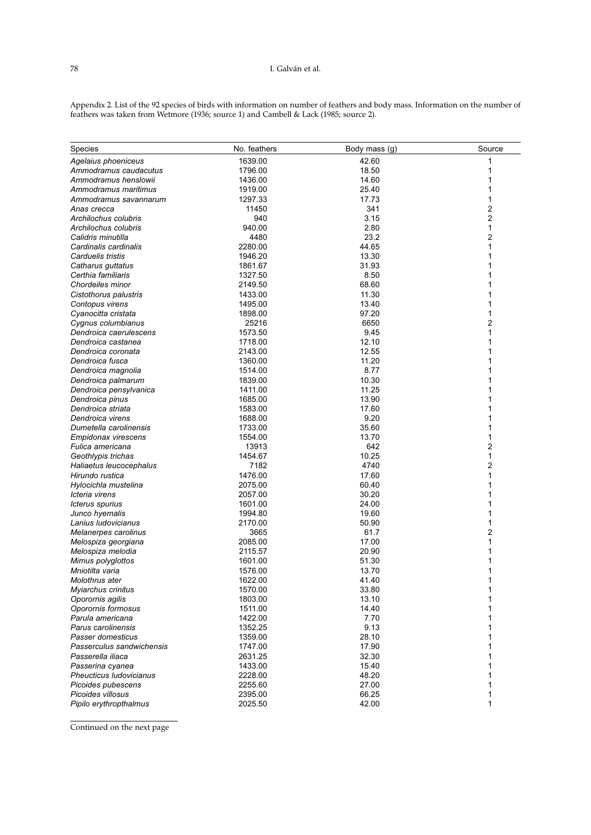Appendix 2. List of the 92 species of birds with information on number of feathers and body mass. Information on the number of feathers was taken from Wetmore (1936; source 1) and Cambell & Lack (1985; source 2).

| Species                       | No. feathers       | Body mass (g) | Source |
|-------------------------------|--------------------|---------------|--------|
| Agelaius phoeniceus           | 1639.00            | 42.60         |        |
| Ammodramus caudacutus         | 1796.00            | 18.50         | 1      |
| Ammodramus henslowii          | 1436.00            | 14.60         | 1      |
| Ammodramus maritimus          | 1919.00            | 25.40         | 1      |
| Ammodramus savannarum         | 1297.33            | 17.73         | 1      |
| Anas crecca                   | 11450              | 341           | 2      |
| Archilochus colubris          | 940                | 3.15          | 2      |
|                               | 940.00             | 2.80          | 1      |
| Archilochus colubris          |                    |               |        |
| Calidris minutilla            | 4480               | 23.2          | 2      |
| Cardinalis cardinalis         | 2280.00            | 44.65         | 1      |
| Carduelis tristis             | 1946.20            | 13.30         | 1      |
| Catharus guttatus             | 1861.67            | 31.93         | 1      |
| Certhia familiaris            | 1327.50            | 8.50          | 1      |
| Chordeiles minor              | 2149.50            | 68.60         | 1      |
| Cistothorus palustris         | 1433.00            | 11.30         |        |
| Contopus virens               | 1495.00            | 13.40         | 1      |
| Cyanocitta cristata           | 1898.00            | 97.20         | 1      |
| Cygnus columbianus            | 25216              | 6650          | 2      |
| Dendroica caerulescens        | 1573.50            | 9.45          | 1      |
| Dendroica castanea            | 1718.00            | 12.10         | 1      |
|                               |                    | 12.55         |        |
| Dendroica coronata            | 2143.00            |               | 1      |
| Dendroica fusca               | 1360.00            | 11.20         | 1      |
| Dendroica magnolia            | 1514.00            | 8.77          | 1      |
| Dendroica palmarum            | 1839.00            | 10.30         | 1      |
| Dendroica pensylvanica        | 1411.00            | 11.25         |        |
| Dendroica pinus               | 1685.00            | 13.90         | 1      |
| Dendroica striata             | 1583.00            | 17.60         | 1      |
| Dendroica virens              | 1688.00            | 9.20          | 1      |
| Dumetella carolinensis        | 1733.00            | 35.60         | 1      |
| Empidonax virescens           | 1554.00            | 13.70         | 1      |
| Fulica americana              | 13913              | 642           | 2      |
| Geothlypis trichas            | 1454.67            | 10.25         | 1      |
|                               |                    |               |        |
| Haliaetus leucocephalus       | 7182               | 4740          | 2      |
| Hirundo rustica               | 1476.00            | 17.60         | 1      |
| Hylocichla mustelina          | 2075.00            | 60.40         | 1      |
| Icteria virens                | 2057.00            | 30.20         | 1      |
| <i><b>Icterus spurius</b></i> | 1601.00            | 24.00         | 1      |
| Junco hyemalis                | 1994.80            | 19.60         | 1      |
| Lanius Iudovicianus           | 2170.00            | 50.90         | 1      |
| Melanerpes carolinus          | 3665               | 61.7          | 2      |
| Melospiza georgiana           | 2085.00            | 17.00         | 1      |
| Melospiza melodia             | 2115.57            | 20.90         | 1      |
| Mimus polyglottos             | 1601.00            | 51.30         | 1      |
| Mniotilta varia               | 1576.00            | 13.70         | 1      |
| Molothrus ater                | 1622.00            | 41.40         |        |
|                               |                    |               |        |
| Myiarchus crinitus            | 1570.00<br>1803.00 | 33.80         | 1<br>1 |
| Oporornis agilis              |                    | 13.10         |        |
| Oporornis formosus            | 1511.00            | 14.40         | 1      |
| Parula americana              | 1422.00            | 7.70          | 1      |
| Parus carolinensis            | 1352.25            | 9.13          | 1      |
| Passer domesticus             | 1359.00            | 28.10         | 1      |
| Passerculus sandwichensis     | 1747.00            | 17.90         | 1      |
| Passerella iliaca             | 2631.25            | 32.30         | 1      |
| Passerina cyanea              | 1433.00            | 15.40         | 1      |
| Pheucticus Iudovicianus       | 2228.00            | 48.20         | 1      |
| Picoides pubescens            | 2255.60            | 27.00         | 1      |
| Picoides villosus             | 2395.00            | 66.25         | 1      |
|                               |                    |               |        |
| Pipilo erythropthalmus        | 2025.50            | 42.00         | 1      |

Continued on the next page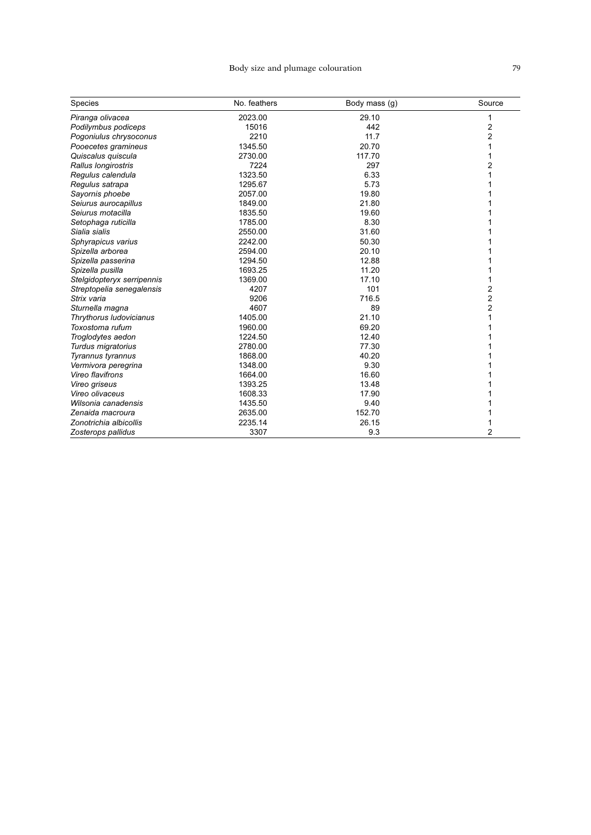# Body size and plumage colouration 79

| Species                    | No. feathers | Body mass (g) | Source         |
|----------------------------|--------------|---------------|----------------|
| Piranga olivacea           | 2023.00      | 29.10         | 1              |
| Podilymbus podiceps        | 15016        | 442           | 2              |
| Pogoniulus chrysoconus     | 2210         | 11.7          | $\overline{c}$ |
| Pooecetes gramineus        | 1345.50      | 20.70         |                |
| Quiscalus quiscula         | 2730.00      | 117.70        | 1              |
| Rallus longirostris        | 7224         | 297           | 2              |
| Regulus calendula          | 1323.50      | 6.33          |                |
| Regulus satrapa            | 1295.67      | 5.73          |                |
| Sayornis phoebe            | 2057.00      | 19.80         |                |
| Seiurus aurocapillus       | 1849.00      | 21.80         |                |
| Seiurus motacilla          | 1835.50      | 19.60         |                |
| Setophaga ruticilla        | 1785.00      | 8.30          |                |
| Sialia sialis              | 2550.00      | 31.60         |                |
| Sphyrapicus varius         | 2242.00      | 50.30         |                |
| Spizella arborea           | 2594.00      | 20.10         |                |
| Spizella passerina         | 1294.50      | 12.88         |                |
| Spizella pusilla           | 1693.25      | 11.20         |                |
| Stelgidopteryx serripennis | 1369.00      | 17.10         | 1              |
| Streptopelia senegalensis  | 4207         | 101           | $\frac{2}{2}$  |
| Strix varia                | 9206         | 716.5         |                |
| Sturnella magna            | 4607         | 89            | $\overline{c}$ |
| Thrythorus Iudovicianus    | 1405.00      | 21.10         | 1              |
| Toxostoma rufum            | 1960.00      | 69.20         |                |
| Troglodytes aedon          | 1224.50      | 12.40         |                |
| Turdus migratorius         | 2780.00      | 77.30         |                |
| Tyrannus tyrannus          | 1868.00      | 40.20         |                |
| Vermivora peregrina        | 1348.00      | 9.30          |                |
| Vireo flavifrons           | 1664.00      | 16.60         |                |
| Vireo griseus              | 1393.25      | 13.48         |                |
| Vireo olivaceus            | 1608.33      | 17.90         |                |
| Wilsonia canadensis        | 1435.50      | 9.40          |                |
| Zenaida macroura           | 2635.00      | 152.70        |                |
| Zonotrichia albicollis     | 2235.14      | 26.15         |                |
| Zosterops pallidus         | 3307         | 9.3           | 2              |